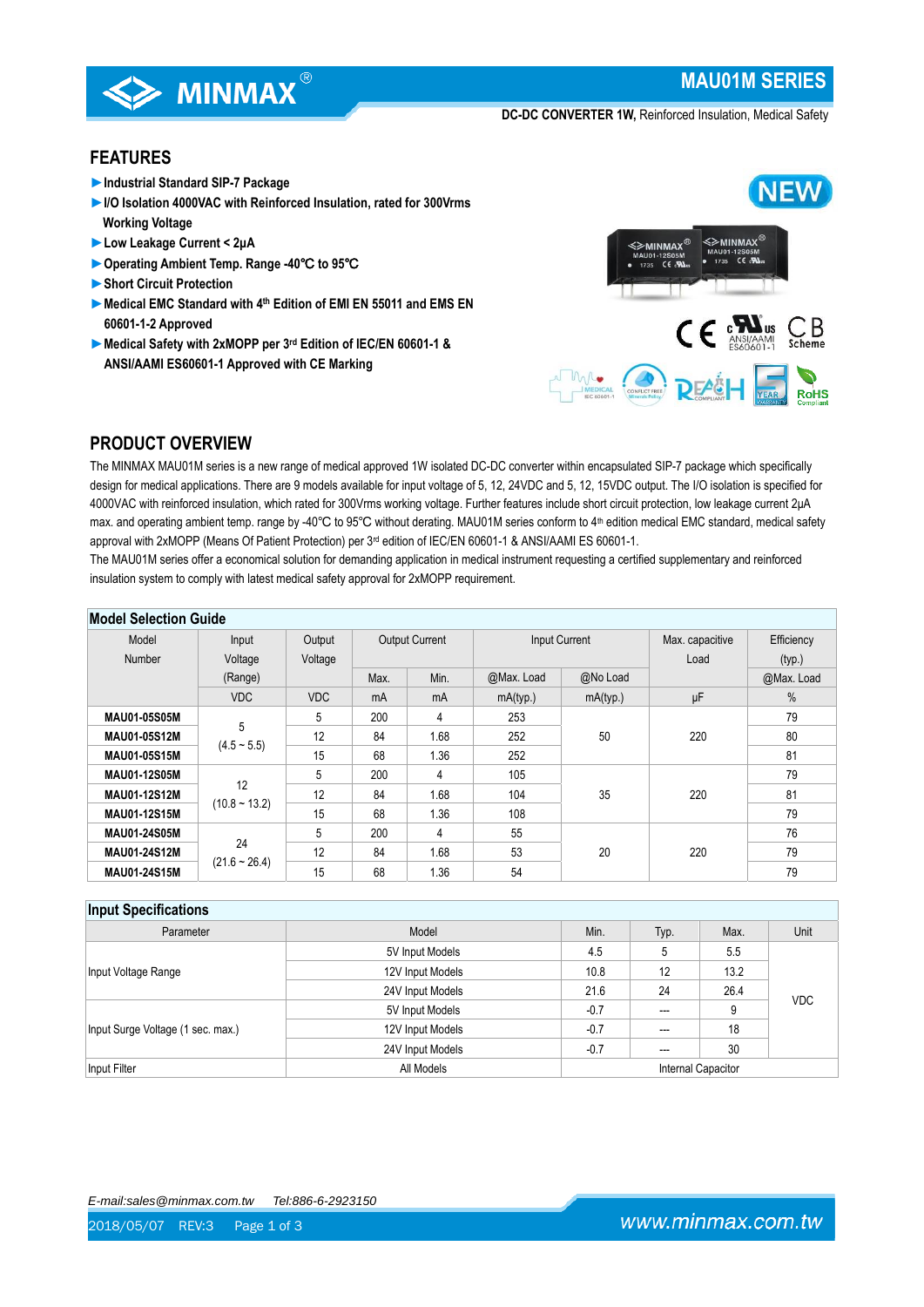

# **MAU01M SERIES**

**DC-DC CONVERTER 1W,** Reinforced Insulation, Medical Safety

## **FEATURES**

- ►**Industrial Standard SIP-7 Package**
- ►**I/O Isolation 4000VAC with Reinforced Insulation, rated for 300Vrms Working Voltage**
- ►**Low Leakage Current < 2μA**
- ►**Operating Ambient Temp. Range -40**℃ **to 95**℃
- ►**Short Circuit Protection**
- ►**Medical EMC Standard with 4th Edition of EMI EN 55011 and EMS EN 60601-1-2 Approved**
- ►**Medical Safety with 2xMOPP per 3rd Edition of IEC/EN 60601-1 & ANSI/AAMI ES60601-1 Approved with CE Marking**



# **PRODUCT OVERVIEW**

The MINMAX MAU01M series is a new range of medical approved 1W isolated DC-DC converter within encapsulated SIP-7 package which specifically design for medical applications. There are 9 models available for input voltage of 5, 12, 24VDC and 5, 12, 15VDC output. The I/O isolation is specified for 4000VAC with reinforced insulation, which rated for 300Vrms working voltage. Further features include short circuit protection, low leakage current 2μA max. and operating ambient temp. range by -40℃ to 95℃ without derating. MAU01M series conform to 4<sup>th</sup> edition medical EMC standard, medical safety approval with 2xMOPP (Means Of Patient Protection) per 3<sup>rd</sup> edition of IEC/EN 60601-1 & ANSI/AAMI ES 60601-1.

The MAU01M series offer a economical solution for demanding application in medical instrument requesting a certified supplementary and reinforced insulation system to comply with latest medical safety approval for 2xMOPP requirement.

| <b>MOUSE SEIECTION QUIDE</b> |                 |            |                                               |      |                 |            |      |               |
|------------------------------|-----------------|------------|-----------------------------------------------|------|-----------------|------------|------|---------------|
| Model                        | Input           | Output     | <b>Output Current</b><br><b>Input Current</b> |      | Max. capacitive | Efficiency |      |               |
| Number                       | Voltage         | Voltage    |                                               |      |                 |            | Load | (typ.)        |
|                              | (Range)         |            | Max.                                          | Min. | @Max. Load      | @No Load   |      | @Max. Load    |
|                              | <b>VDC</b>      | <b>VDC</b> | mA                                            | mA   | mA(typ.)        | mA(typ.)   | μF   | $\frac{0}{0}$ |
| <b>MAU01-05S05M</b>          |                 | 5          | 200                                           | 4    | 253             |            |      | 79            |
| <b>MAU01-05S12M</b>          | 5               | 12         | 84                                            | 1.68 | 252             | 50         | 220  | 80            |
| MAU01-05S15M                 | $(4.5 - 5.5)$   | 15         | 68                                            | 1.36 | 252             |            |      | 81            |
| <b>MAU01-12S05M</b>          |                 | 5          | 200                                           | 4    | 105             |            |      | 79            |
| <b>MAU01-12S12M</b>          | 12              | 12         | 84                                            | 1.68 | 104             | 35         | 220  | 81            |
| <b>MAU01-12S15M</b>          | $(10.8 - 13.2)$ | 15         | 68                                            | 1.36 | 108             |            |      | 79            |
| MAU01-24S05M                 |                 | 5          | 200                                           | 4    | 55              |            |      | 76            |
| MAU01-24S12M                 | 24              | 12         | 84                                            | 1.68 | 53              | 20         | 220  | 79            |
| MAU01-24S15M                 | $(21.6 - 26.4)$ | 15         | 68                                            | 1.36 | 54              |            |      | 79            |

# **Model Selection Guide**

## **Input Specifications**

| Parameter                         | Model            | Min.               | Typ.           | Max.               | Unit       |  |
|-----------------------------------|------------------|--------------------|----------------|--------------------|------------|--|
| Input Voltage Range               | 5V Input Models  | 4.5                | 5              | 5.5                |            |  |
|                                   | 12V Input Models | 13.2<br>10.8<br>12 |                |                    |            |  |
|                                   | 24V Input Models | 21.6               | 24             | 26.4               | <b>VDC</b> |  |
| Input Surge Voltage (1 sec. max.) | 5V Input Models  | $-0.7$             | $\overline{a}$ | 9                  |            |  |
|                                   | 12V Input Models | $-0.7$             |                | 18                 |            |  |
|                                   | 24V Input Models | $-0.7$             |                | 30                 |            |  |
| Input Filter                      | All Models       |                    |                | Internal Capacitor |            |  |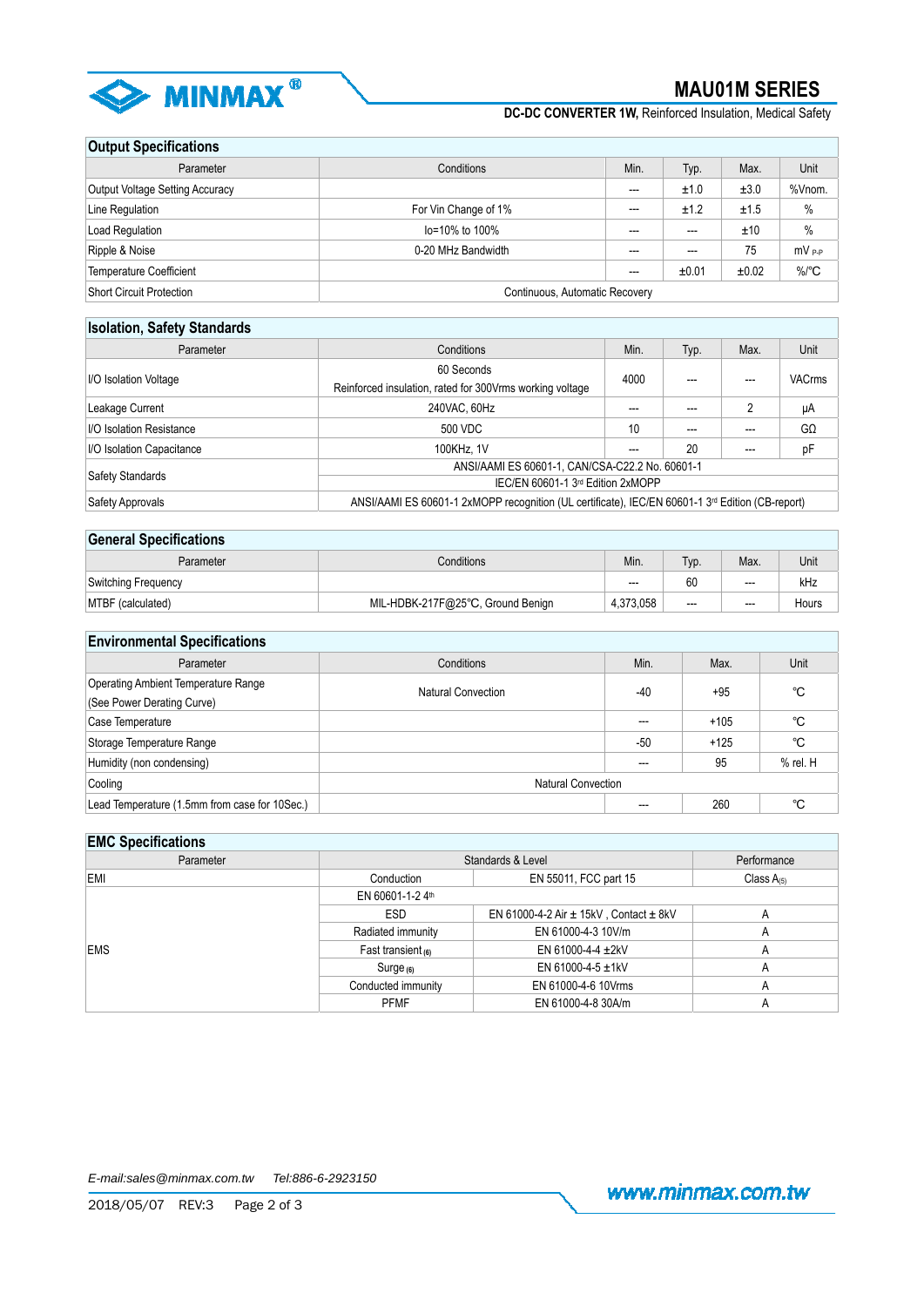

**DC-DC CONVERTER 1W,** Reinforced Insulation, Medical Safety

## **Output Specifications**

| Parameter                       | Conditions                     |       | Typ.  | Max.  | Unit              |
|---------------------------------|--------------------------------|-------|-------|-------|-------------------|
| Output Voltage Setting Accuracy |                                | $---$ | ±1.0  | ±3.0  | %Vnom.            |
| Line Regulation                 | For Vin Change of 1%           | $--$  | ±1.2  | ±1.5  | $\%$              |
| Load Regulation                 | lo=10% to 100%                 | $---$ | ---   | ±10   | $\%$              |
| Ripple & Noise                  | 0-20 MHz Bandwidth             | $---$ | ---   | 75    | mV <sub>P-P</sub> |
| Temperature Coefficient         |                                | $---$ | ±0.01 | ±0.02 | $\%$ /°C          |
| Short Circuit Protection        | Continuous, Automatic Recovery |       |       |       |                   |

#### **Isolation, Safety Standards**

| Parameter                 | Conditions                                                                                       |      | Typ. | Max. | Unit          |  |
|---------------------------|--------------------------------------------------------------------------------------------------|------|------|------|---------------|--|
|                           | 60 Seconds                                                                                       |      |      |      | <b>VACrms</b> |  |
| I/O Isolation Voltage     | Reinforced insulation, rated for 300Vrms working voltage                                         | 4000 |      |      |               |  |
| Leakage Current           | 240VAC, 60Hz                                                                                     | ---  | ---  | 2    | μA            |  |
| I/O Isolation Resistance  | 500 VDC                                                                                          | 10   |      |      | $G\Omega$     |  |
| I/O Isolation Capacitance | 100KHz, 1V                                                                                       | ---  | 20   |      | pF            |  |
|                           | ANSI/AAMI ES 60601-1, CAN/CSA-C22.2 No. 60601-1                                                  |      |      |      |               |  |
| Safety Standards          | IEC/EN 60601-1 3rd Edition 2xMOPP                                                                |      |      |      |               |  |
| Safety Approvals          | ANSI/AAMI ES 60601-1 2xMOPP recognition (UL certificate), IEC/EN 60601-1 3rd Edition (CB-report) |      |      |      |               |  |

## **General Specifications**

| Parameter           | Conditions                        |           | Typ.  | Max.  | Unit  |
|---------------------|-----------------------------------|-----------|-------|-------|-------|
| Switching Frequency |                                   | $---$     | 60    | $---$ | kHz   |
| MTBF (calculated)   | MIL-HDBK-217F@25°C, Ground Benign | 4.373.058 | $---$ | $--$  | Hours |

## **Environmental Specifications**

| Parameter                                                                               | Conditions                | Min.  | Max.   | Unit         |
|-----------------------------------------------------------------------------------------|---------------------------|-------|--------|--------------|
| Operating Ambient Temperature Range<br>Natural Convection<br>(See Power Derating Curve) |                           | $-40$ | +95    | °C           |
| Case Temperature                                                                        |                           | $---$ | $+105$ | °C           |
| Storage Temperature Range                                                               |                           | $-50$ | $+125$ | °C           |
| Humidity (non condensing)                                                               |                           | ---   | 95     | $%$ rel. $H$ |
| Cooling                                                                                 | <b>Natural Convection</b> |       |        |              |
| Lead Temperature (1.5mm from case for 10Sec.)                                           |                           | ---   | 260    | °C           |

## **EMC Specifications**

| Standards & Level                   |                                                | Performance     |  |  |
|-------------------------------------|------------------------------------------------|-----------------|--|--|
| Conduction<br>EN 55011, FCC part 15 |                                                | Class $A_{(5)}$ |  |  |
| EN 60601-1-24th                     |                                                |                 |  |  |
| <b>ESD</b>                          | EN 61000-4-2 Air $\pm$ 15kV, Contact $\pm$ 8kV | $\mathsf{A}$    |  |  |
| Radiated immunity                   | EN 61000-4-3 10V/m                             | $\mathsf{A}$    |  |  |
| Fast transient $(6)$                | EN 61000-4-4 $\pm$ 2kV                         | A               |  |  |
| Surq <sub>e(6)</sub>                | EN 61000-4-5 $\pm$ 1kV                         | A               |  |  |
| Conducted immunity                  | EN 61000-4-6 10Vrms                            | $\mathsf{A}$    |  |  |
| <b>PFMF</b>                         | EN 61000-4-8 30A/m                             | A               |  |  |
|                                     |                                                |                 |  |  |

www.minmax.com.tw